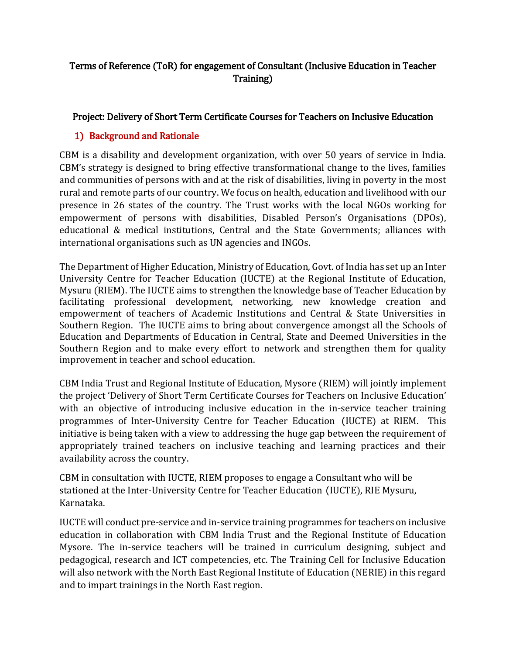# Terms of Reference (ToR) for engagement of Consultant (Inclusive Education in Teacher Training)

### Project: Delivery of Short Term Certificate Courses for Teachers on Inclusive Education

### 1) Background and Rationale

CBM is a disability and development organization, with over 50 years of service in India. CBM's strategy is designed to bring effective transformational change to the lives, families and communities of persons with and at the risk of disabilities, living in poverty in the most rural and remote parts of our country. We focus on health, education and livelihood with our presence in 26 states of the country. The Trust works with the local NGOs working for empowerment of persons with disabilities, Disabled Person's Organisations (DPOs), educational & medical institutions, Central and the State Governments; alliances with international organisations such as UN agencies and INGOs.

The Department of Higher Education, Ministry of Education, Govt. of India has set up an Inter University Centre for Teacher Education (IUCTE) at the Regional Institute of Education, Mysuru (RIEM). The IUCTE aims to strengthen the knowledge base of Teacher Education by facilitating professional development, networking, new knowledge creation and empowerment of teachers of Academic Institutions and Central & State Universities in Southern Region. The IUCTE aims to bring about convergence amongst all the Schools of Education and Departments of Education in Central, State and Deemed Universities in the Southern Region and to make every effort to network and strengthen them for quality improvement in teacher and school education.

CBM India Trust and Regional Institute of Education, Mysore (RIEM) will jointly implement the project 'Delivery of Short Term Certificate Courses for Teachers on Inclusive Education' with an objective of introducing inclusive education in the in-service teacher training programmes of Inter-University Centre for Teacher Education (IUCTE) at RIEM. This initiative is being taken with a view to addressing the huge gap between the requirement of appropriately trained teachers on inclusive teaching and learning practices and their availability across the country.

CBM in consultation with IUCTE, RIEM proposes to engage a Consultant who will be stationed at the Inter-University Centre for Teacher Education (IUCTE), RIE Mysuru, Karnataka.

IUCTE will conduct pre-service and in-service training programmes for teachers on inclusive education in collaboration with CBM India Trust and the Regional Institute of Education Mysore. The in-service teachers will be trained in curriculum designing, subject and pedagogical, research and ICT competencies, etc. The Training Cell for Inclusive Education will also network with the North East Regional Institute of Education (NERIE) in this regard and to impart trainings in the North East region.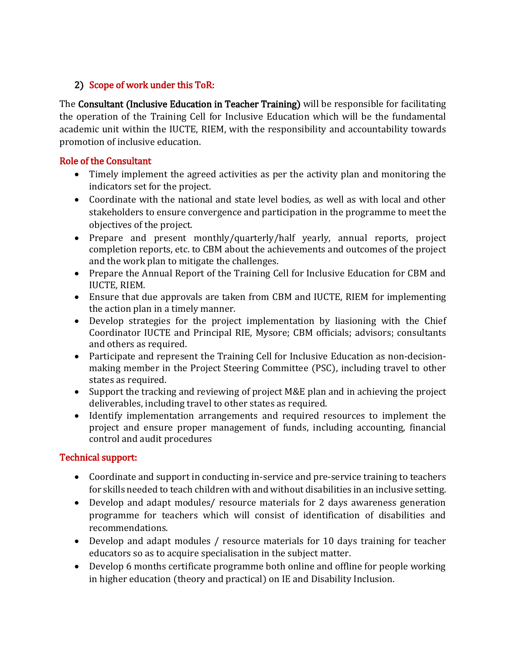## 2) Scope of work under this ToR:

The Consultant (Inclusive Education in Teacher Training) will be responsible for facilitating the operation of the Training Cell for Inclusive Education which will be the fundamental academic unit within the IUCTE, RIEM, with the responsibility and accountability towards promotion of inclusive education.

#### Role of the Consultant

- Timely implement the agreed activities as per the activity plan and monitoring the indicators set for the project.
- Coordinate with the national and state level bodies, as well as with local and other stakeholders to ensure convergence and participation in the programme to meet the objectives of the project.
- Prepare and present monthly/quarterly/half yearly, annual reports, project completion reports, etc. to CBM about the achievements and outcomes of the project and the work plan to mitigate the challenges.
- Prepare the Annual Report of the Training Cell for Inclusive Education for CBM and IUCTE, RIEM.
- Ensure that due approvals are taken from CBM and IUCTE, RIEM for implementing the action plan in a timely manner.
- Develop strategies for the project implementation by liasioning with the Chief Coordinator IUCTE and Principal RIE, Mysore; CBM officials; advisors; consultants and others as required.
- Participate and represent the Training Cell for Inclusive Education as non-decisionmaking member in the Project Steering Committee (PSC), including travel to other states as required.
- Support the tracking and reviewing of project M&E plan and in achieving the project deliverables, including travel to other states as required.
- Identify implementation arrangements and required resources to implement the project and ensure proper management of funds, including accounting, financial control and audit procedures

### Technical support:

- Coordinate and support in conducting in-service and pre-service training to teachers for skills needed to teach children with and without disabilities in an inclusive setting.
- Develop and adapt modules/ resource materials for 2 days awareness generation programme for teachers which will consist of identification of disabilities and recommendations.
- Develop and adapt modules / resource materials for 10 days training for teacher educators so as to acquire specialisation in the subject matter.
- Develop 6 months certificate programme both online and offline for people working in higher education (theory and practical) on IE and Disability Inclusion.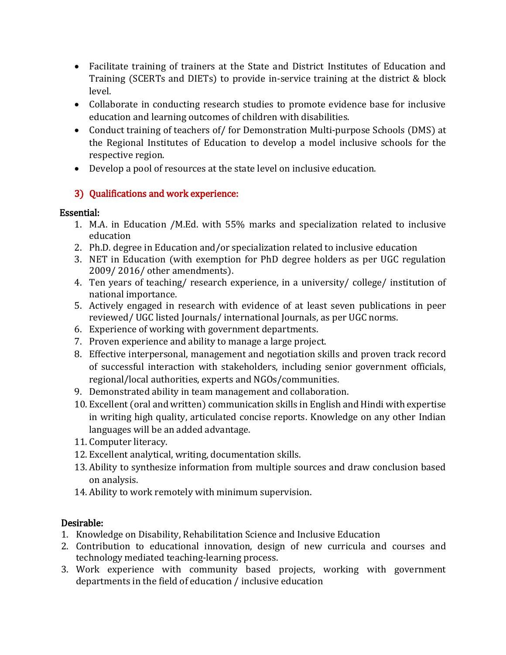- Facilitate training of trainers at the State and District Institutes of Education and Training (SCERTs and DIETs) to provide in-service training at the district & block level.
- Collaborate in conducting research studies to promote evidence base for inclusive education and learning outcomes of children with disabilities.
- Conduct training of teachers of/ for Demonstration Multi-purpose Schools (DMS) at the Regional Institutes of Education to develop a model inclusive schools for the respective region.
- Develop a pool of resources at the state level on inclusive education.

# 3) Qualifications and work experience:

## Essential:

- 1. M.A. in Education /M.Ed. with 55% marks and specialization related to inclusive education
- 2. Ph.D. degree in Education and/or specialization related to inclusive education
- 3. NET in Education (with exemption for PhD degree holders as per UGC regulation 2009/ 2016/ other amendments).
- 4. Ten years of teaching/ research experience, in a university/ college/ institution of national importance.
- 5. Actively engaged in research with evidence of at least seven publications in peer reviewed/ UGC listed Journals/ international Journals, as per UGC norms.
- 6. Experience of working with government departments.
- 7. Proven experience and ability to manage a large project.
- 8. Effective interpersonal, management and negotiation skills and proven track record of successful interaction with stakeholders, including senior government officials, regional/local authorities, experts and NGOs/communities.
- 9. Demonstrated ability in team management and collaboration.
- 10. Excellent (oral and written) communication skills in English and Hindi with expertise in writing high quality, articulated concise reports. Knowledge on any other Indian languages will be an added advantage.
- 11. Computer literacy.
- 12. Excellent analytical, writing, documentation skills.
- 13. Ability to synthesize information from multiple sources and draw conclusion based on analysis.
- 14. Ability to work remotely with minimum supervision.

# Desirable:

- 1. Knowledge on Disability, Rehabilitation Science and Inclusive Education
- 2. Contribution to educational innovation, design of new curricula and courses and technology mediated teaching-learning process.
- 3. Work experience with community based projects, working with government departments in the field of education / inclusive education